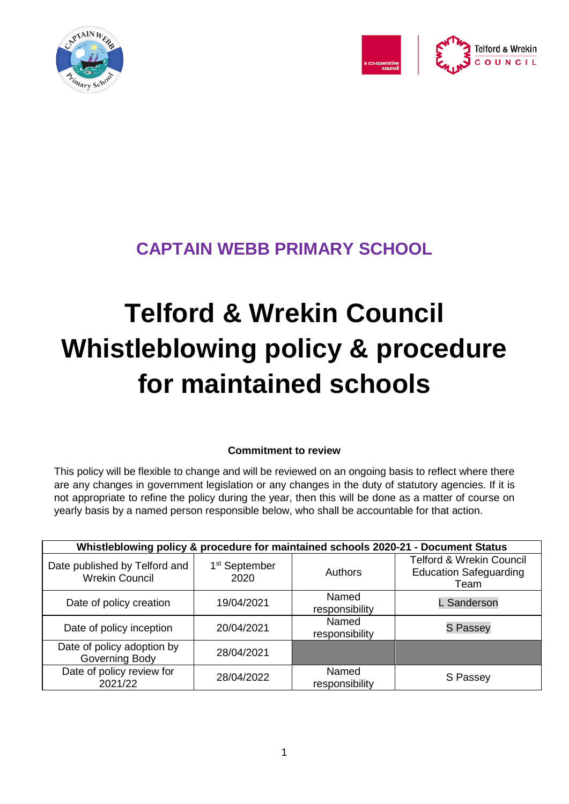



# **CAPTAIN WEBB PRIMARY SCHOOL**

# **Telford & Wrekin Council Whistleblowing policy & procedure for maintained schools**

# **Commitment to review**

This policy will be flexible to change and will be reviewed on an ongoing basis to reflect where there are any changes in government legislation or any changes in the duty of statutory agencies. If it is not appropriate to refine the policy during the year, then this will be done as a matter of course on yearly basis by a named person responsible below, who shall be accountable for that action.

| Whistleblowing policy & procedure for maintained schools 2020-21 - Document Status |                                   |                         |                                                                              |
|------------------------------------------------------------------------------------|-----------------------------------|-------------------------|------------------------------------------------------------------------------|
| Date published by Telford and<br><b>Wrekin Council</b>                             | 1 <sup>st</sup> September<br>2020 | Authors                 | <b>Telford &amp; Wrekin Council</b><br><b>Education Safeguarding</b><br>Team |
| Date of policy creation                                                            | 19/04/2021                        | Named<br>responsibility | L Sanderson                                                                  |
| Date of policy inception                                                           | 20/04/2021                        | Named<br>responsibility | <b>S Passey</b>                                                              |
| Date of policy adoption by<br>Governing Body                                       | 28/04/2021                        |                         |                                                                              |
| Date of policy review for<br>2021/22                                               | 28/04/2022                        | Named<br>responsibility | S Passey                                                                     |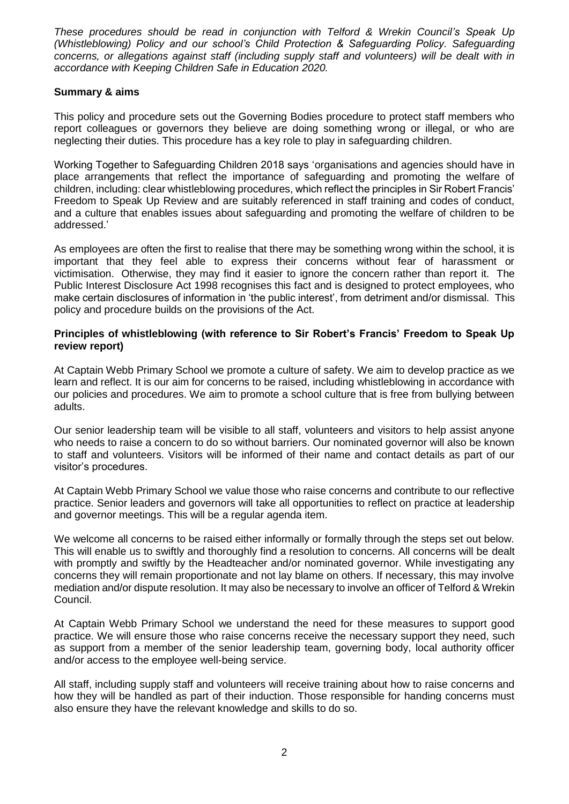*These procedures should be read in conjunction with Telford & Wrekin Council's Speak Up (Whistleblowing) Policy and our school's Child Protection & Safeguarding Policy. Safeguarding concerns, or allegations against staff (including supply staff and volunteers) will be dealt with in accordance with Keeping Children Safe in Education 2020.* 

#### **Summary & aims**

This policy and procedure sets out the Governing Bodies procedure to protect staff members who report colleagues or governors they believe are doing something wrong or illegal, or who are neglecting their duties. This procedure has a key role to play in safeguarding children.

Working Together to Safeguarding Children 2018 says 'organisations and agencies should have in place arrangements that reflect the importance of safeguarding and promoting the welfare of children, including: clear whistleblowing procedures, which reflect the principles in Sir Robert Francis' Freedom to Speak Up Review and are suitably referenced in staff training and codes of conduct, and a culture that enables issues about safeguarding and promoting the welfare of children to be addressed.'

As employees are often the first to realise that there may be something wrong within the school, it is important that they feel able to express their concerns without fear of harassment or victimisation. Otherwise, they may find it easier to ignore the concern rather than report it. The Public Interest Disclosure Act 1998 recognises this fact and is designed to protect employees, who make certain disclosures of information in 'the public interest', from detriment and/or dismissal. This policy and procedure builds on the provisions of the Act.

#### **Principles of whistleblowing (with reference to Sir Robert's Francis' Freedom to Speak Up review report)**

At Captain Webb Primary School we promote a culture of safety. We aim to develop practice as we learn and reflect. It is our aim for concerns to be raised, including whistleblowing in accordance with our policies and procedures. We aim to promote a school culture that is free from bullying between adults.

Our senior leadership team will be visible to all staff, volunteers and visitors to help assist anyone who needs to raise a concern to do so without barriers. Our nominated governor will also be known to staff and volunteers. Visitors will be informed of their name and contact details as part of our visitor's procedures.

At Captain Webb Primary School we value those who raise concerns and contribute to our reflective practice. Senior leaders and governors will take all opportunities to reflect on practice at leadership and governor meetings. This will be a regular agenda item.

We welcome all concerns to be raised either informally or formally through the steps set out below. This will enable us to swiftly and thoroughly find a resolution to concerns. All concerns will be dealt with promptly and swiftly by the Headteacher and/or nominated governor. While investigating any concerns they will remain proportionate and not lay blame on others. If necessary, this may involve mediation and/or dispute resolution. It may also be necessary to involve an officer of Telford & Wrekin Council.

At Captain Webb Primary School we understand the need for these measures to support good practice. We will ensure those who raise concerns receive the necessary support they need, such as support from a member of the senior leadership team, governing body, local authority officer and/or access to the employee well-being service.

All staff, including supply staff and volunteers will receive training about how to raise concerns and how they will be handled as part of their induction. Those responsible for handing concerns must also ensure they have the relevant knowledge and skills to do so.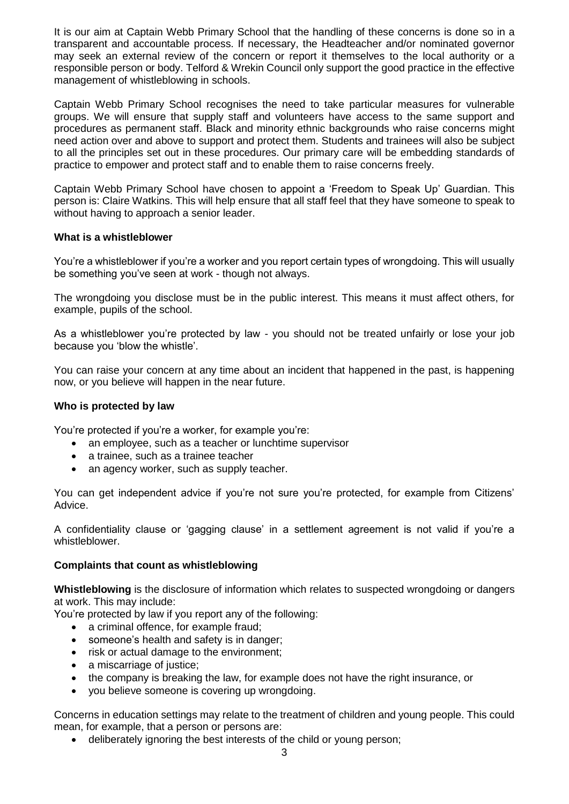It is our aim at Captain Webb Primary School that the handling of these concerns is done so in a transparent and accountable process. If necessary, the Headteacher and/or nominated governor may seek an external review of the concern or report it themselves to the local authority or a responsible person or body. Telford & Wrekin Council only support the good practice in the effective management of whistleblowing in schools.

Captain Webb Primary School recognises the need to take particular measures for vulnerable groups. We will ensure that supply staff and volunteers have access to the same support and procedures as permanent staff. Black and minority ethnic backgrounds who raise concerns might need action over and above to support and protect them. Students and trainees will also be subject to all the principles set out in these procedures. Our primary care will be embedding standards of practice to empower and protect staff and to enable them to raise concerns freely.

Captain Webb Primary School have chosen to appoint a 'Freedom to Speak Up' Guardian. This person is: Claire Watkins. This will help ensure that all staff feel that they have someone to speak to without having to approach a senior leader.

#### **What is a whistleblower**

You're a whistleblower if you're a worker and you report certain types of wrongdoing. This will usually be something you've seen at work - though not always.

The wrongdoing you disclose must be in the public interest. This means it must affect others, for example, pupils of the school.

As a whistleblower you're protected by law - you should not be treated unfairly or lose your job because you 'blow the whistle'.

You can raise your concern at any time about an incident that happened in the past, is happening now, or you believe will happen in the near future.

#### **Who is protected by law**

You're protected if you're a worker, for example you're:

- an employee, such as a teacher or lunchtime supervisor
- a trainee, such as a trainee teacher
- an agency worker, such as supply teacher.

You can get independent advice if you're not sure you're protected, for example from Citizens' Advice.

A confidentiality clause or 'gagging clause' in a settlement agreement is not valid if you're a whistleblower.

#### **Complaints that count as whistleblowing**

**Whistleblowing** is the disclosure of information which relates to suspected wrongdoing or dangers at work. This may include:

You're protected by law if you report any of the following:

- a criminal offence, for example fraud:
- someone's health and safety is in danger:
- risk or actual damage to the environment;
- a miscarriage of justice;
- the company is breaking the law, for example does not have the right insurance, or
- you believe someone is covering up wrongdoing.

Concerns in education settings may relate to the treatment of children and young people. This could mean, for example, that a person or persons are:

deliberately ignoring the best interests of the child or young person;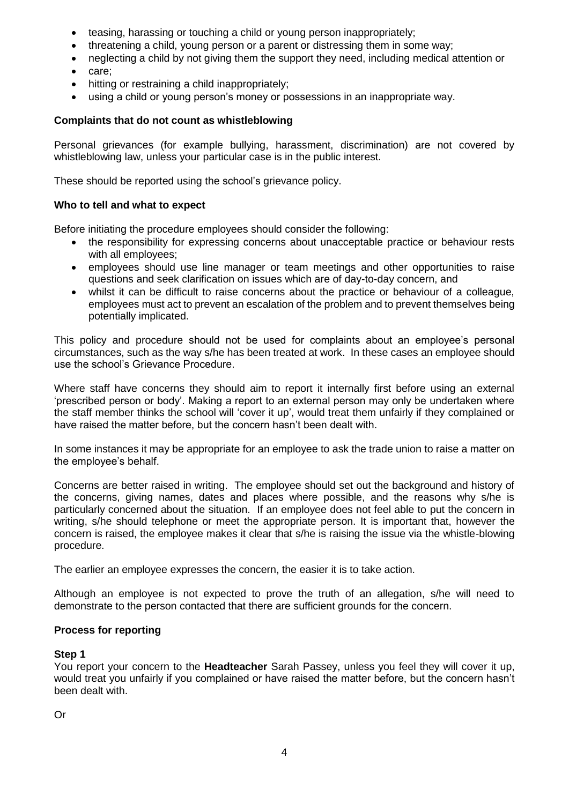- teasing, harassing or touching a child or young person inappropriately;
- threatening a child, young person or a parent or distressing them in some way;
- neglecting a child by not giving them the support they need, including medical attention or
- care;
- hitting or restraining a child inappropriately;
- using a child or young person's money or possessions in an inappropriate way.

#### **Complaints that do not count as whistleblowing**

Personal grievances (for example bullying, harassment, discrimination) are not covered by whistleblowing law, unless your particular case is in the public interest.

These should be reported using the school's grievance policy.

#### **Who to tell and what to expect**

Before initiating the procedure employees should consider the following:

- the responsibility for expressing concerns about unacceptable practice or behaviour rests with all employees;
- employees should use line manager or team meetings and other opportunities to raise questions and seek clarification on issues which are of day-to-day concern, and
- whilst it can be difficult to raise concerns about the practice or behaviour of a colleague, employees must act to prevent an escalation of the problem and to prevent themselves being potentially implicated.

This policy and procedure should not be used for complaints about an employee's personal circumstances, such as the way s/he has been treated at work. In these cases an employee should use the school's Grievance Procedure.

Where staff have concerns they should aim to report it internally first before using an external 'prescribed person or body'. Making a report to an external person may only be undertaken where the staff member thinks the school will 'cover it up', would treat them unfairly if they complained or have raised the matter before, but the concern hasn't been dealt with.

In some instances it may be appropriate for an employee to ask the trade union to raise a matter on the employee's behalf.

Concerns are better raised in writing. The employee should set out the background and history of the concerns, giving names, dates and places where possible, and the reasons why s/he is particularly concerned about the situation. If an employee does not feel able to put the concern in writing, s/he should telephone or meet the appropriate person. It is important that, however the concern is raised, the employee makes it clear that s/he is raising the issue via the whistle-blowing procedure.

The earlier an employee expresses the concern, the easier it is to take action.

Although an employee is not expected to prove the truth of an allegation, s/he will need to demonstrate to the person contacted that there are sufficient grounds for the concern.

#### **Process for reporting**

#### **Step 1**

You report your concern to the **Headteacher** Sarah Passey, unless you feel they will cover it up, would treat you unfairly if you complained or have raised the matter before, but the concern hasn't been dealt with.

Or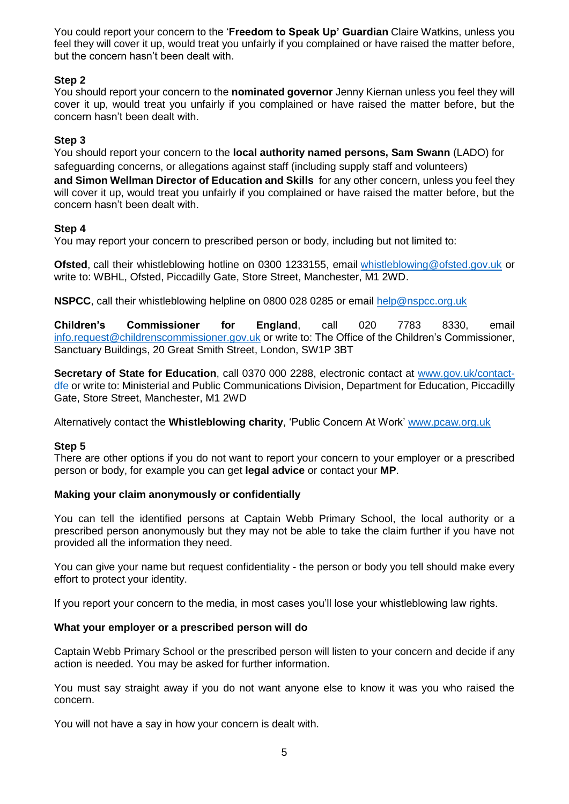You could report your concern to the '**Freedom to Speak Up' Guardian** Claire Watkins, unless you feel they will cover it up, would treat you unfairly if you complained or have raised the matter before, but the concern hasn't been dealt with.

### **Step 2**

You should report your concern to the **nominated governor** Jenny Kiernan unless you feel they will cover it up, would treat you unfairly if you complained or have raised the matter before, but the concern hasn't been dealt with.

### **Step 3**

You should report your concern to the **local authority named persons, Sam Swann** (LADO) for safeguarding concerns, or allegations against staff (including supply staff and volunteers) **and Simon Wellman Director of Education and Skills** for any other concern, unless you feel they will cover it up, would treat you unfairly if you complained or have raised the matter before, but the concern hasn't been dealt with.

### **Step 4**

You may report your concern to prescribed person or body, including but not limited to:

**Ofsted**, call their whistleblowing hotline on 0300 1233155, email [whistleblowing@ofsted.gov.uk](mailto:whistleblowing@ofsted.gov.uk) or write to: WBHL, Ofsted, Piccadilly Gate, Store Street, Manchester, M1 2WD.

**NSPCC**, call their whistleblowing helpline on 0800 028 0285 or email [help@nspcc.org.uk](mailto:help@nspcc.org.uk)

**Children's Commissioner for England**, call 020 7783 8330, email [info.request@childrenscommissioner.gov.uk](mailto:info.request@childrenscommissioner.gov.uk) or write to: The Office of the Children's Commissioner, Sanctuary Buildings, 20 Great Smith Street, London, SW1P 3BT

**Secretary of State for Education**, call 0370 000 2288, electronic contact at [www.gov.uk/contact](http://www.gov.uk/contact-dfe)[dfe](http://www.gov.uk/contact-dfe) or write to: Ministerial and Public Communications Division, Department for Education, Piccadilly Gate, Store Street, Manchester, M1 2WD

Alternatively contact the **Whistleblowing charity**, 'Public Concern At Work' [www.pcaw.org.uk](http://www.pcaw.org.uk/)

#### **Step 5**

There are other options if you do not want to report your concern to your employer or a prescribed person or body, for example you can get **legal advice** or contact your **MP**.

#### **Making your claim anonymously or confidentially**

You can tell the identified persons at Captain Webb Primary School, the local authority or a prescribed person anonymously but they may not be able to take the claim further if you have not provided all the information they need.

You can give your name but request confidentiality - the person or body you tell should make every effort to protect your identity.

If you report your concern to the media, in most cases you'll lose your whistleblowing law rights.

# **What your employer or a prescribed person will do**

Captain Webb Primary School or the prescribed person will listen to your concern and decide if any action is needed. You may be asked for further information.

You must say straight away if you do not want anyone else to know it was you who raised the concern.

You will not have a say in how your concern is dealt with.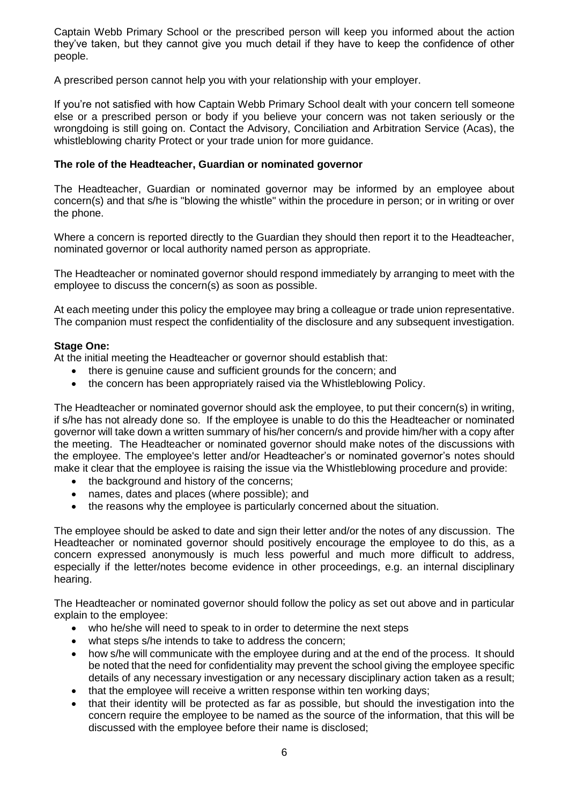Captain Webb Primary School or the prescribed person will keep you informed about the action they've taken, but they cannot give you much detail if they have to keep the confidence of other people.

A prescribed person cannot help you with your relationship with your employer.

If you're not satisfied with how Captain Webb Primary School dealt with your concern tell someone else or a prescribed person or body if you believe your concern was not taken seriously or the wrongdoing is still going on. Contact the Advisory, Conciliation and Arbitration Service (Acas), the whistleblowing charity Protect or your trade union for more guidance.

### **The role of the Headteacher, Guardian or nominated governor**

The Headteacher, Guardian or nominated governor may be informed by an employee about concern(s) and that s/he is "blowing the whistle" within the procedure in person; or in writing or over the phone.

Where a concern is reported directly to the Guardian they should then report it to the Headteacher, nominated governor or local authority named person as appropriate.

The Headteacher or nominated governor should respond immediately by arranging to meet with the employee to discuss the concern(s) as soon as possible.

At each meeting under this policy the employee may bring a colleague or trade union representative. The companion must respect the confidentiality of the disclosure and any subsequent investigation.

### **Stage One:**

At the initial meeting the Headteacher or governor should establish that:

- there is genuine cause and sufficient grounds for the concern; and
- the concern has been appropriately raised via the Whistleblowing Policy.

The Headteacher or nominated governor should ask the employee, to put their concern(s) in writing, if s/he has not already done so. If the employee is unable to do this the Headteacher or nominated governor will take down a written summary of his/her concern/s and provide him/her with a copy after the meeting. The Headteacher or nominated governor should make notes of the discussions with the employee. The employee's letter and/or Headteacher's or nominated governor's notes should make it clear that the employee is raising the issue via the Whistleblowing procedure and provide:

- the background and history of the concerns;
- names, dates and places (where possible); and
- the reasons why the employee is particularly concerned about the situation.

The employee should be asked to date and sign their letter and/or the notes of any discussion. The Headteacher or nominated governor should positively encourage the employee to do this, as a concern expressed anonymously is much less powerful and much more difficult to address, especially if the letter/notes become evidence in other proceedings, e.g. an internal disciplinary hearing.

The Headteacher or nominated governor should follow the policy as set out above and in particular explain to the employee:

- who he/she will need to speak to in order to determine the next steps
- what steps s/he intends to take to address the concern;
- how s/he will communicate with the employee during and at the end of the process. It should be noted that the need for confidentiality may prevent the school giving the employee specific details of any necessary investigation or any necessary disciplinary action taken as a result;
- that the employee will receive a written response within ten working days;
- that their identity will be protected as far as possible, but should the investigation into the concern require the employee to be named as the source of the information, that this will be discussed with the employee before their name is disclosed;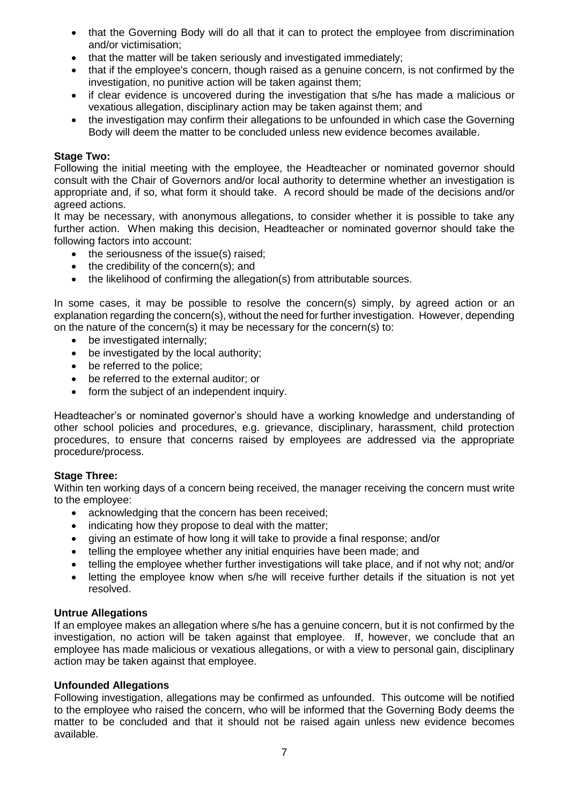- that the Governing Body will do all that it can to protect the employee from discrimination and/or victimisation;
- that the matter will be taken seriously and investigated immediately;
- that if the employee's concern, though raised as a genuine concern, is not confirmed by the investigation, no punitive action will be taken against them;
- if clear evidence is uncovered during the investigation that s/he has made a malicious or vexatious allegation, disciplinary action may be taken against them; and
- the investigation may confirm their allegations to be unfounded in which case the Governing Body will deem the matter to be concluded unless new evidence becomes available.

#### **Stage Two:**

Following the initial meeting with the employee, the Headteacher or nominated governor should consult with the Chair of Governors and/or local authority to determine whether an investigation is appropriate and, if so, what form it should take. A record should be made of the decisions and/or agreed actions.

It may be necessary, with anonymous allegations, to consider whether it is possible to take any further action. When making this decision, Headteacher or nominated governor should take the following factors into account:

- the seriousness of the issue(s) raised:
- $\bullet$  the credibility of the concern(s); and
- the likelihood of confirming the allegation(s) from attributable sources.

In some cases, it may be possible to resolve the concern(s) simply, by agreed action or an explanation regarding the concern(s), without the need for further investigation. However, depending on the nature of the concern(s) it may be necessary for the concern(s) to:

- be investigated internally:
- be investigated by the local authority:
- be referred to the police;
- be referred to the external auditor; or
- form the subject of an independent inquiry.

Headteacher's or nominated governor's should have a working knowledge and understanding of other school policies and procedures, e.g. grievance, disciplinary, harassment, child protection procedures, to ensure that concerns raised by employees are addressed via the appropriate procedure/process.

#### **Stage Three:**

Within ten working days of a concern being received, the manager receiving the concern must write to the employee:

- acknowledging that the concern has been received;
- indicating how they propose to deal with the matter:
- giving an estimate of how long it will take to provide a final response; and/or
- telling the employee whether any initial enquiries have been made; and
- telling the employee whether further investigations will take place, and if not why not; and/or
- letting the employee know when s/he will receive further details if the situation is not yet resolved.

#### **Untrue Allegations**

If an employee makes an allegation where s/he has a genuine concern, but it is not confirmed by the investigation, no action will be taken against that employee. If, however, we conclude that an employee has made malicious or vexatious allegations, or with a view to personal gain, disciplinary action may be taken against that employee.

#### **Unfounded Allegations**

Following investigation, allegations may be confirmed as unfounded. This outcome will be notified to the employee who raised the concern, who will be informed that the Governing Body deems the matter to be concluded and that it should not be raised again unless new evidence becomes available.